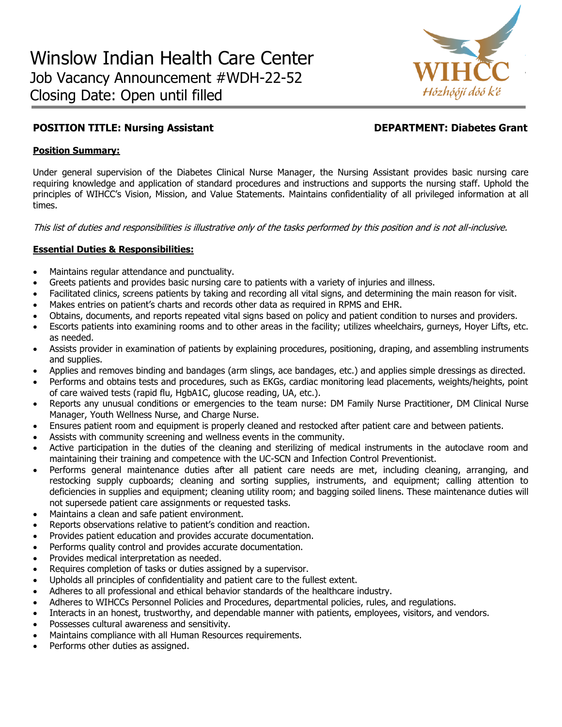

# **POSITION TITLE: Nursing Assistant DEPARTMENT: Diabetes Grant**

# **Position Summary:**

Under general supervision of the Diabetes Clinical Nurse Manager, the Nursing Assistant provides basic nursing care requiring knowledge and application of standard procedures and instructions and supports the nursing staff. Uphold the principles of WIHCC's Vision, Mission, and Value Statements. Maintains confidentiality of all privileged information at all times.

This list of duties and responsibilities is illustrative only of the tasks performed by this position and is not all-inclusive.

# **Essential Duties & Responsibilities:**

- Maintains regular attendance and punctuality.
- Greets patients and provides basic nursing care to patients with a variety of injuries and illness.
- Facilitated clinics, screens patients by taking and recording all vital signs, and determining the main reason for visit.
- Makes entries on patient's charts and records other data as required in RPMS and EHR.
- Obtains, documents, and reports repeated vital signs based on policy and patient condition to nurses and providers.
- Escorts patients into examining rooms and to other areas in the facility; utilizes wheelchairs, gurneys, Hoyer Lifts, etc. as needed.
- Assists provider in examination of patients by explaining procedures, positioning, draping, and assembling instruments and supplies.
- Applies and removes binding and bandages (arm slings, ace bandages, etc.) and applies simple dressings as directed.
- Performs and obtains tests and procedures, such as EKGs, cardiac monitoring lead placements, weights/heights, point of care waived tests (rapid flu, HgbA1C, glucose reading, UA, etc.).
- Reports any unusual conditions or emergencies to the team nurse: DM Family Nurse Practitioner, DM Clinical Nurse Manager, Youth Wellness Nurse, and Charge Nurse.
- Ensures patient room and equipment is properly cleaned and restocked after patient care and between patients.
- Assists with community screening and wellness events in the community.
- Active participation in the duties of the cleaning and sterilizing of medical instruments in the autoclave room and maintaining their training and competence with the UC-SCN and Infection Control Preventionist.
- Performs general maintenance duties after all patient care needs are met, including cleaning, arranging, and restocking supply cupboards; cleaning and sorting supplies, instruments, and equipment; calling attention to deficiencies in supplies and equipment; cleaning utility room; and bagging soiled linens. These maintenance duties will not supersede patient care assignments or requested tasks.
- Maintains a clean and safe patient environment.
- Reports observations relative to patient's condition and reaction.
- Provides patient education and provides accurate documentation.
- Performs quality control and provides accurate documentation.
- Provides medical interpretation as needed.
- Requires completion of tasks or duties assigned by a supervisor.
- Upholds all principles of confidentiality and patient care to the fullest extent.
- Adheres to all professional and ethical behavior standards of the healthcare industry.
- Adheres to WIHCCs Personnel Policies and Procedures, departmental policies, rules, and regulations.
- Interacts in an honest, trustworthy, and dependable manner with patients, employees, visitors, and vendors.
- Possesses cultural awareness and sensitivity.
- Maintains compliance with all Human Resources requirements.
- Performs other duties as assigned.